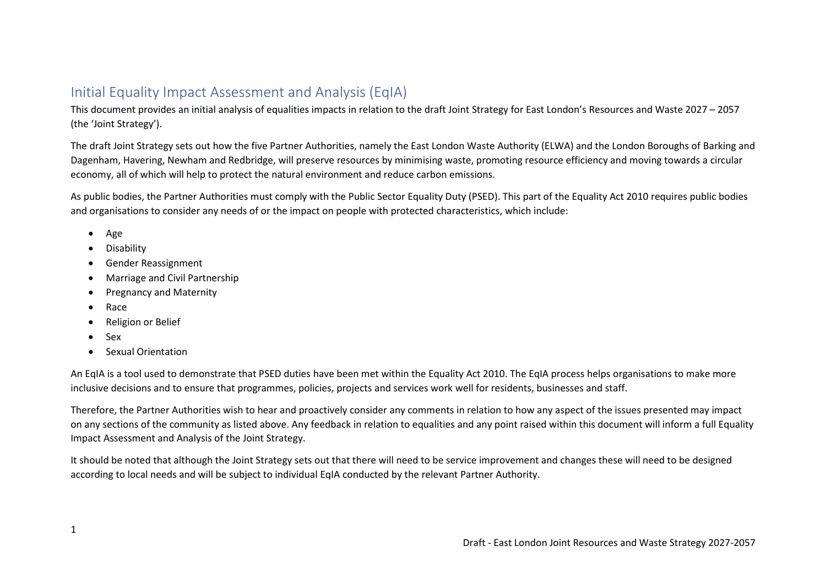# Initial Equality Impact Assessment and Analysis (EqIA)

This document provides an initial analysis of equalities impacts in relation to the draft Joint Strategy for East London's Resources and Waste 2027 – 2057 (the 'Joint Strategy').

The draft Joint Strategy sets out how the five Partner Authorities, namely the East London Waste Authority (ELWA) and the London Boroughs of Barking and Dagenham, Havering, Newham and Redbridge, will preserve resources by minimising waste, promoting resource efficiency and moving towards a circular economy, all of which will help to protect the natural environment and reduce carbon emissions.

As public bodies, the Partner Authorities must comply with the Public Sector Equality Duty (PSED). This part of the Equality Act 2010 requires public bodies and organisations to consider any needs of or the impact on people with protected characteristics, which include:

- Age
- Disability
- Gender Reassignment
- Marriage and Civil Partnership
- Pregnancy and Maternity
- Race
- Religion or Belief
- Sex
- Sexual Orientation

An EqIA is a tool used to demonstrate that PSED duties have been met within the Equality Act 2010. The EqIA process helps organisations to make more inclusive decisions and to ensure that programmes, policies, projects and services work well for residents, businesses and staff.

Therefore, the Partner Authorities wish to hear and proactively consider any comments in relation to how any aspect of the issues presented may impact on any sections of the community as listed above. Any feedback in relation to equalities and any point raised within this document will inform a full Equality Impact Assessment and Analysis of the Joint Strategy.

It should be noted that although the Joint Strategy sets out that there will need to be service improvement and changes these will need to be designed according to local needs and will be subject to individual EqIA conducted by the relevant Partner Authority.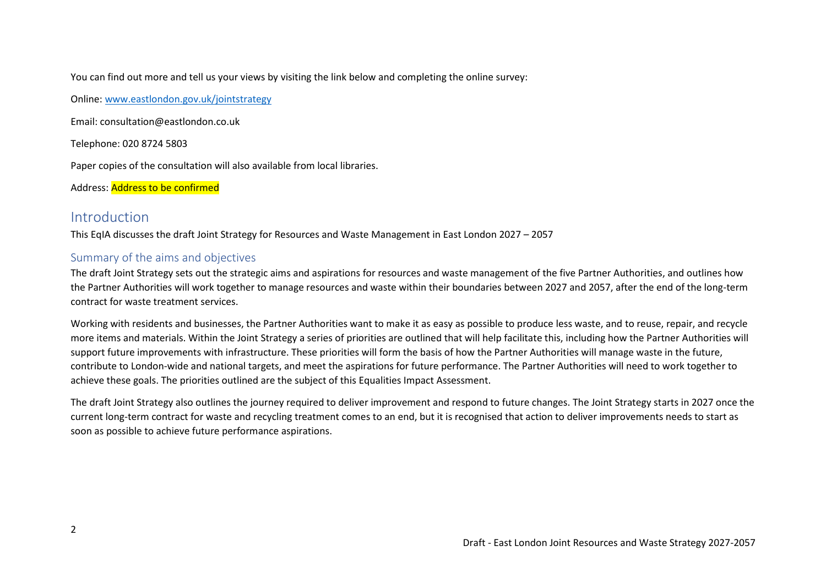You can find out more and tell us your views by visiting the link below and completing the online survey:

Online: [www.eastlondon.gov.uk/jointstrategy](http://www.eastlondon.gov.uk/jointstrategy)

Email: consultation@eastlondon.co.uk

Telephone: 020 8724 5803

Paper copies of the consultation will also available from local libraries.

Address: Address to be confirmed

## Introduction

This EqIA discusses the draft Joint Strategy for Resources and Waste Management in East London 2027 – 2057

### Summary of the aims and objectives

The draft Joint Strategy sets out the strategic aims and aspirations for resources and waste management of the five Partner Authorities, and outlines how the Partner Authorities will work together to manage resources and waste within their boundaries between 2027 and 2057, after the end of the long-term contract for waste treatment services.

Working with residents and businesses, the Partner Authorities want to make it as easy as possible to produce less waste, and to reuse, repair, and recycle more items and materials. Within the Joint Strategy a series of priorities are outlined that will help facilitate this, including how the Partner Authorities will support future improvements with infrastructure. These priorities will form the basis of how the Partner Authorities will manage waste in the future, contribute to London-wide and national targets, and meet the aspirations for future performance. The Partner Authorities will need to work together to achieve these goals. The priorities outlined are the subject of this Equalities Impact Assessment.

The draft Joint Strategy also outlines the journey required to deliver improvement and respond to future changes. The Joint Strategy starts in 2027 once the current long-term contract for waste and recycling treatment comes to an end, but it is recognised that action to deliver improvements needs to start as soon as possible to achieve future performance aspirations.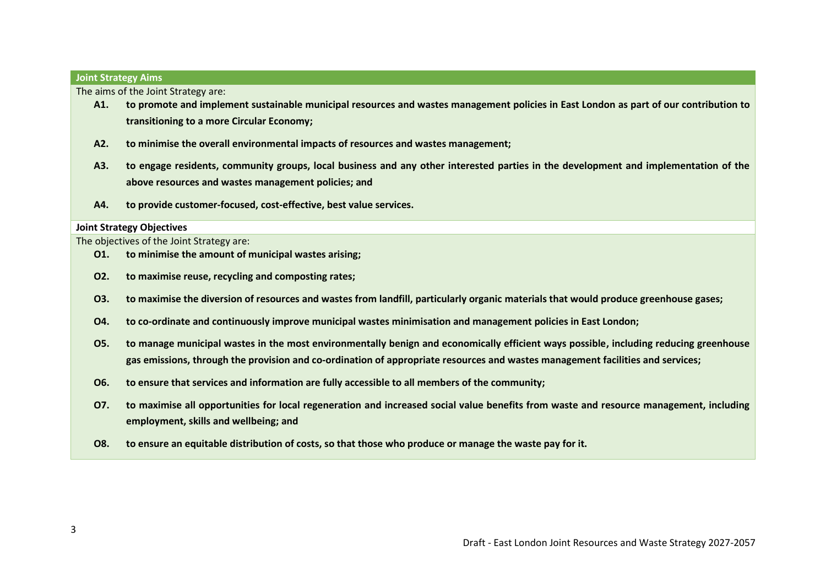#### **Joint Strategy Aims**

The aims of the Joint Strategy are:

- **A1. to promote and implement sustainable municipal resources and wastes management policies in East London as part of our contribution to transitioning to a more Circular Economy;**
- **A2. to minimise the overall environmental impacts of resources and wastes management;**
- **A3. to engage residents, community groups, local business and any other interested parties in the development and implementation of the above resources and wastes management policies; and**
- **A4. to provide customer-focused, cost-effective, best value services.**

#### **Joint Strategy Objectives**

The objectives of the Joint Strategy are:

- **O1. to minimise the amount of municipal wastes arising;**
- **O2. to maximise reuse, recycling and composting rates;**
- **O3. to maximise the diversion of resources and wastes from landfill, particularly organic materials that would produce greenhouse gases;**
- **O4. to co-ordinate and continuously improve municipal wastes minimisation and management policies in East London;**
- **O5. to manage municipal wastes in the most environmentally benign and economically efficient ways possible, including reducing greenhouse gas emissions, through the provision and co-ordination of appropriate resources and wastes management facilities and services;**
- **O6. to ensure that services and information are fully accessible to all members of the community;**
- **O7. to maximise all opportunities for local regeneration and increased social value benefits from waste and resource management, including employment, skills and wellbeing; and**
- **O8. to ensure an equitable distribution of costs, so that those who produce or manage the waste pay for it.**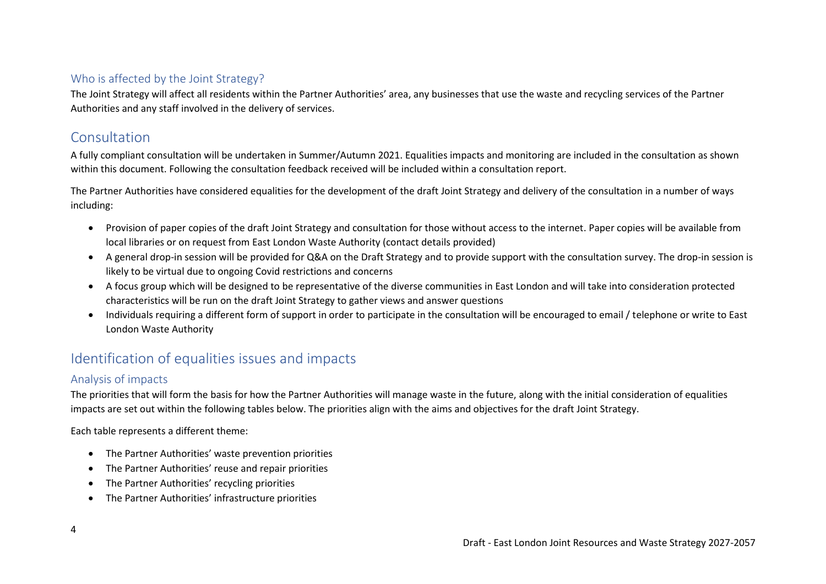## Who is affected by the Joint Strategy?

The Joint Strategy will affect all residents within the Partner Authorities' area, any businesses that use the waste and recycling services of the Partner Authorities and any staff involved in the delivery of services.

# Consultation

A fully compliant consultation will be undertaken in Summer/Autumn 2021. Equalities impacts and monitoring are included in the consultation as shown within this document. Following the consultation feedback received will be included within a consultation report.

The Partner Authorities have considered equalities for the development of the draft Joint Strategy and delivery of the consultation in a number of ways including:

- Provision of paper copies of the draft Joint Strategy and consultation for those without access to the internet. Paper copies will be available from local libraries or on request from East London Waste Authority (contact details provided)
- A general drop-in session will be provided for Q&A on the Draft Strategy and to provide support with the consultation survey. The drop-in session is likely to be virtual due to ongoing Covid restrictions and concerns
- A focus group which will be designed to be representative of the diverse communities in East London and will take into consideration protected characteristics will be run on the draft Joint Strategy to gather views and answer questions
- Individuals requiring a different form of support in order to participate in the consultation will be encouraged to email / telephone or write to East London Waste Authority

# Identification of equalities issues and impacts

## Analysis of impacts

The priorities that will form the basis for how the Partner Authorities will manage waste in the future, along with the initial consideration of equalities impacts are set out within the following tables below. The priorities align with the aims and objectives for the draft Joint Strategy.

Each table represents a different theme:

- [The Partner Authorities' waste prevention priorities](#page-4-0)
- [The Partner Authorities' reuse and repair priorities](#page-5-0)
- [The Partner Authorities' recycling priorities](#page-6-0)
- [The Partner Authorities' infrastructure priorities](#page-8-0)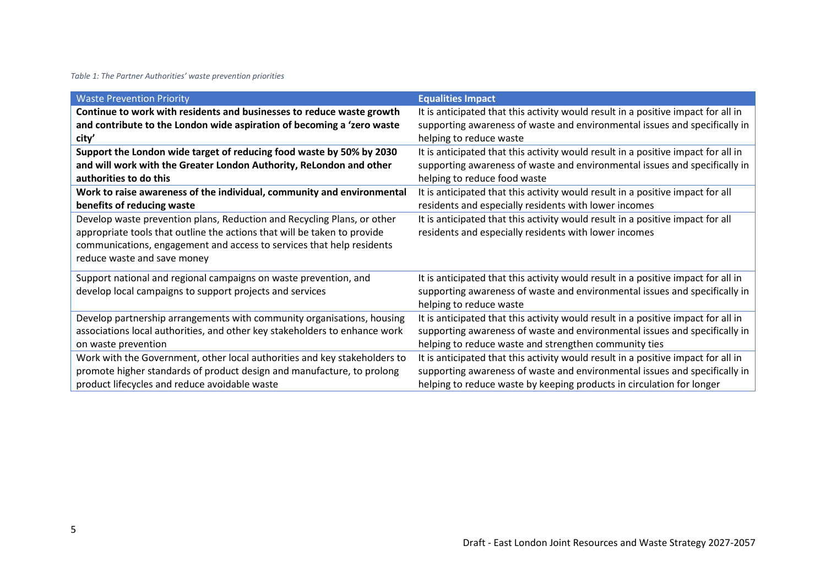### <span id="page-4-0"></span>*Table 1: The Partner Authorities' waste prevention priorities*

| <b>Waste Prevention Priority</b>                                           | <b>Equalities Impact</b>                                                          |
|----------------------------------------------------------------------------|-----------------------------------------------------------------------------------|
| Continue to work with residents and businesses to reduce waste growth      | It is anticipated that this activity would result in a positive impact for all in |
| and contribute to the London wide aspiration of becoming a 'zero waste     | supporting awareness of waste and environmental issues and specifically in        |
| city'                                                                      | helping to reduce waste                                                           |
| Support the London wide target of reducing food waste by 50% by 2030       | It is anticipated that this activity would result in a positive impact for all in |
| and will work with the Greater London Authority, ReLondon and other        | supporting awareness of waste and environmental issues and specifically in        |
| authorities to do this                                                     | helping to reduce food waste                                                      |
| Work to raise awareness of the individual, community and environmental     | It is anticipated that this activity would result in a positive impact for all    |
| benefits of reducing waste                                                 | residents and especially residents with lower incomes                             |
| Develop waste prevention plans, Reduction and Recycling Plans, or other    | It is anticipated that this activity would result in a positive impact for all    |
| appropriate tools that outline the actions that will be taken to provide   | residents and especially residents with lower incomes                             |
| communications, engagement and access to services that help residents      |                                                                                   |
| reduce waste and save money                                                |                                                                                   |
| Support national and regional campaigns on waste prevention, and           | It is anticipated that this activity would result in a positive impact for all in |
| develop local campaigns to support projects and services                   | supporting awareness of waste and environmental issues and specifically in        |
|                                                                            | helping to reduce waste                                                           |
| Develop partnership arrangements with community organisations, housing     | It is anticipated that this activity would result in a positive impact for all in |
| associations local authorities, and other key stakeholders to enhance work | supporting awareness of waste and environmental issues and specifically in        |
| on waste prevention                                                        | helping to reduce waste and strengthen community ties                             |
| Work with the Government, other local authorities and key stakeholders to  | It is anticipated that this activity would result in a positive impact for all in |
| promote higher standards of product design and manufacture, to prolong     | supporting awareness of waste and environmental issues and specifically in        |
| product lifecycles and reduce avoidable waste                              | helping to reduce waste by keeping products in circulation for longer             |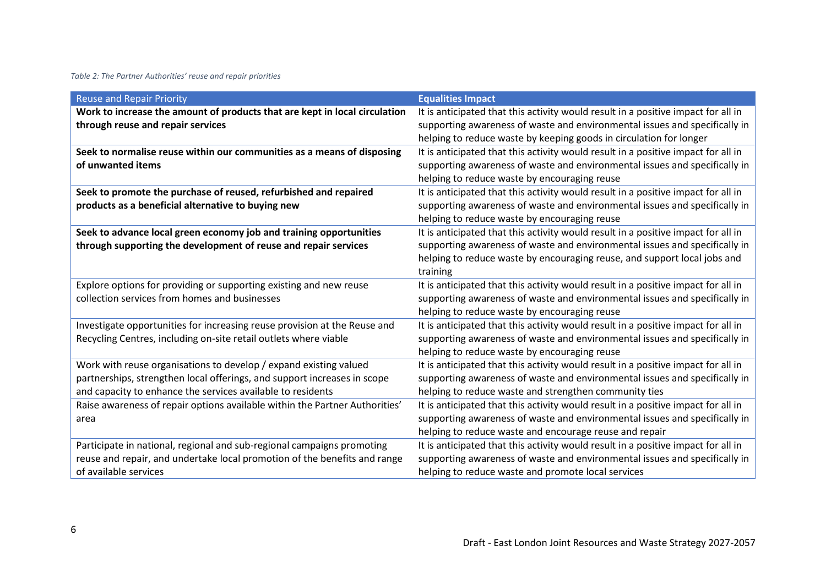### <span id="page-5-0"></span>*Table 2: The Partner Authorities' reuse and repair priorities*

| <b>Reuse and Repair Priority</b>                                            | <b>Equalities Impact</b>                                                          |
|-----------------------------------------------------------------------------|-----------------------------------------------------------------------------------|
| Work to increase the amount of products that are kept in local circulation  | It is anticipated that this activity would result in a positive impact for all in |
| through reuse and repair services                                           | supporting awareness of waste and environmental issues and specifically in        |
|                                                                             | helping to reduce waste by keeping goods in circulation for longer                |
| Seek to normalise reuse within our communities as a means of disposing      | It is anticipated that this activity would result in a positive impact for all in |
| of unwanted items                                                           | supporting awareness of waste and environmental issues and specifically in        |
|                                                                             | helping to reduce waste by encouraging reuse                                      |
| Seek to promote the purchase of reused, refurbished and repaired            | It is anticipated that this activity would result in a positive impact for all in |
| products as a beneficial alternative to buying new                          | supporting awareness of waste and environmental issues and specifically in        |
|                                                                             | helping to reduce waste by encouraging reuse                                      |
| Seek to advance local green economy job and training opportunities          | It is anticipated that this activity would result in a positive impact for all in |
| through supporting the development of reuse and repair services             | supporting awareness of waste and environmental issues and specifically in        |
|                                                                             | helping to reduce waste by encouraging reuse, and support local jobs and          |
|                                                                             | training                                                                          |
| Explore options for providing or supporting existing and new reuse          | It is anticipated that this activity would result in a positive impact for all in |
| collection services from homes and businesses                               | supporting awareness of waste and environmental issues and specifically in        |
|                                                                             | helping to reduce waste by encouraging reuse                                      |
| Investigate opportunities for increasing reuse provision at the Reuse and   | It is anticipated that this activity would result in a positive impact for all in |
| Recycling Centres, including on-site retail outlets where viable            | supporting awareness of waste and environmental issues and specifically in        |
|                                                                             | helping to reduce waste by encouraging reuse                                      |
| Work with reuse organisations to develop / expand existing valued           | It is anticipated that this activity would result in a positive impact for all in |
| partnerships, strengthen local offerings, and support increases in scope    | supporting awareness of waste and environmental issues and specifically in        |
| and capacity to enhance the services available to residents                 | helping to reduce waste and strengthen community ties                             |
| Raise awareness of repair options available within the Partner Authorities' | It is anticipated that this activity would result in a positive impact for all in |
| area                                                                        | supporting awareness of waste and environmental issues and specifically in        |
|                                                                             | helping to reduce waste and encourage reuse and repair                            |
| Participate in national, regional and sub-regional campaigns promoting      | It is anticipated that this activity would result in a positive impact for all in |
| reuse and repair, and undertake local promotion of the benefits and range   | supporting awareness of waste and environmental issues and specifically in        |
| of available services                                                       | helping to reduce waste and promote local services                                |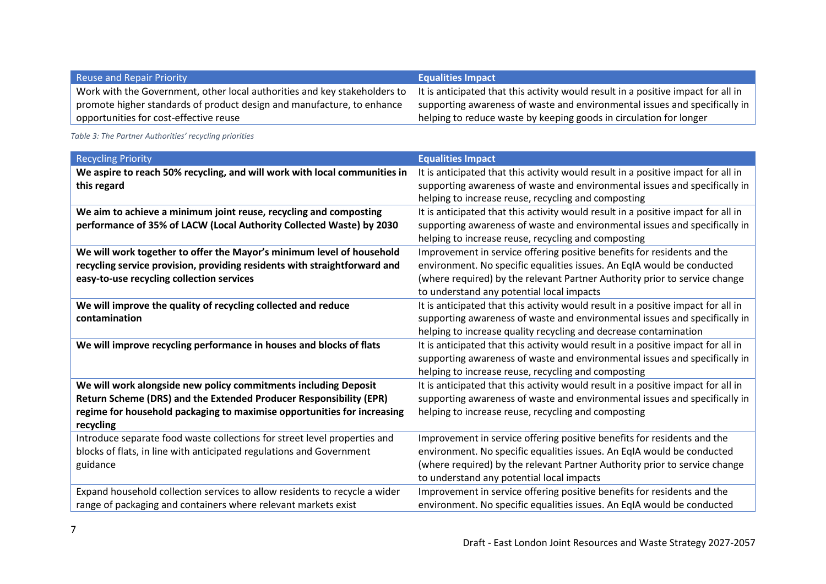| <b>Reuse and Repair Priority</b>                                          | <b>Equalities Impact</b>                                                          |
|---------------------------------------------------------------------------|-----------------------------------------------------------------------------------|
| Work with the Government, other local authorities and key stakeholders to | It is anticipated that this activity would result in a positive impact for all in |
| promote higher standards of product design and manufacture, to enhance    | supporting awareness of waste and environmental issues and specifically in        |
| opportunities for cost-effective reuse                                    | helping to reduce waste by keeping goods in circulation for longer                |

<span id="page-6-0"></span>*Table 3: The Partner Authorities' recycling priorities*

| <b>Recycling Priority</b>                                                  | <b>Equalities Impact</b>                                                          |
|----------------------------------------------------------------------------|-----------------------------------------------------------------------------------|
| We aspire to reach 50% recycling, and will work with local communities in  | It is anticipated that this activity would result in a positive impact for all in |
| this regard                                                                | supporting awareness of waste and environmental issues and specifically in        |
|                                                                            | helping to increase reuse, recycling and composting                               |
| We aim to achieve a minimum joint reuse, recycling and composting          | It is anticipated that this activity would result in a positive impact for all in |
| performance of 35% of LACW (Local Authority Collected Waste) by 2030       | supporting awareness of waste and environmental issues and specifically in        |
|                                                                            | helping to increase reuse, recycling and composting                               |
| We will work together to offer the Mayor's minimum level of household      | Improvement in service offering positive benefits for residents and the           |
| recycling service provision, providing residents with straightforward and  | environment. No specific equalities issues. An EqIA would be conducted            |
| easy-to-use recycling collection services                                  | (where required) by the relevant Partner Authority prior to service change        |
|                                                                            | to understand any potential local impacts                                         |
| We will improve the quality of recycling collected and reduce              | It is anticipated that this activity would result in a positive impact for all in |
| contamination                                                              | supporting awareness of waste and environmental issues and specifically in        |
|                                                                            | helping to increase quality recycling and decrease contamination                  |
| We will improve recycling performance in houses and blocks of flats        | It is anticipated that this activity would result in a positive impact for all in |
|                                                                            | supporting awareness of waste and environmental issues and specifically in        |
|                                                                            | helping to increase reuse, recycling and composting                               |
| We will work alongside new policy commitments including Deposit            | It is anticipated that this activity would result in a positive impact for all in |
| Return Scheme (DRS) and the Extended Producer Responsibility (EPR)         | supporting awareness of waste and environmental issues and specifically in        |
| regime for household packaging to maximise opportunities for increasing    | helping to increase reuse, recycling and composting                               |
| recycling                                                                  |                                                                                   |
| Introduce separate food waste collections for street level properties and  | Improvement in service offering positive benefits for residents and the           |
| blocks of flats, in line with anticipated regulations and Government       | environment. No specific equalities issues. An EqIA would be conducted            |
| guidance                                                                   | (where required) by the relevant Partner Authority prior to service change        |
|                                                                            | to understand any potential local impacts                                         |
| Expand household collection services to allow residents to recycle a wider | Improvement in service offering positive benefits for residents and the           |
| range of packaging and containers where relevant markets exist             | environment. No specific equalities issues. An EqIA would be conducted            |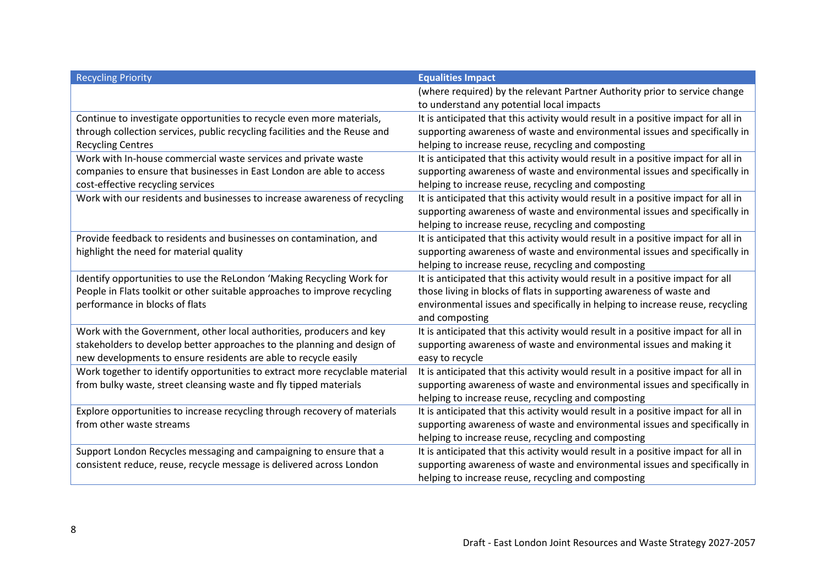| <b>Recycling Priority</b>                                                   | <b>Equalities Impact</b>                                                          |
|-----------------------------------------------------------------------------|-----------------------------------------------------------------------------------|
|                                                                             | (where required) by the relevant Partner Authority prior to service change        |
|                                                                             | to understand any potential local impacts                                         |
| Continue to investigate opportunities to recycle even more materials,       | It is anticipated that this activity would result in a positive impact for all in |
| through collection services, public recycling facilities and the Reuse and  | supporting awareness of waste and environmental issues and specifically in        |
| <b>Recycling Centres</b>                                                    | helping to increase reuse, recycling and composting                               |
| Work with In-house commercial waste services and private waste              | It is anticipated that this activity would result in a positive impact for all in |
| companies to ensure that businesses in East London are able to access       | supporting awareness of waste and environmental issues and specifically in        |
| cost-effective recycling services                                           | helping to increase reuse, recycling and composting                               |
| Work with our residents and businesses to increase awareness of recycling   | It is anticipated that this activity would result in a positive impact for all in |
|                                                                             | supporting awareness of waste and environmental issues and specifically in        |
|                                                                             | helping to increase reuse, recycling and composting                               |
| Provide feedback to residents and businesses on contamination, and          | It is anticipated that this activity would result in a positive impact for all in |
| highlight the need for material quality                                     | supporting awareness of waste and environmental issues and specifically in        |
|                                                                             | helping to increase reuse, recycling and composting                               |
| Identify opportunities to use the ReLondon 'Making Recycling Work for       | It is anticipated that this activity would result in a positive impact for all    |
| People in Flats toolkit or other suitable approaches to improve recycling   | those living in blocks of flats in supporting awareness of waste and              |
| performance in blocks of flats                                              | environmental issues and specifically in helping to increase reuse, recycling     |
|                                                                             | and composting                                                                    |
| Work with the Government, other local authorities, producers and key        | It is anticipated that this activity would result in a positive impact for all in |
| stakeholders to develop better approaches to the planning and design of     | supporting awareness of waste and environmental issues and making it              |
| new developments to ensure residents are able to recycle easily             | easy to recycle                                                                   |
| Work together to identify opportunities to extract more recyclable material | It is anticipated that this activity would result in a positive impact for all in |
| from bulky waste, street cleansing waste and fly tipped materials           | supporting awareness of waste and environmental issues and specifically in        |
|                                                                             | helping to increase reuse, recycling and composting                               |
| Explore opportunities to increase recycling through recovery of materials   | It is anticipated that this activity would result in a positive impact for all in |
| from other waste streams                                                    | supporting awareness of waste and environmental issues and specifically in        |
|                                                                             | helping to increase reuse, recycling and composting                               |
| Support London Recycles messaging and campaigning to ensure that a          | It is anticipated that this activity would result in a positive impact for all in |
| consistent reduce, reuse, recycle message is delivered across London        | supporting awareness of waste and environmental issues and specifically in        |
|                                                                             | helping to increase reuse, recycling and composting                               |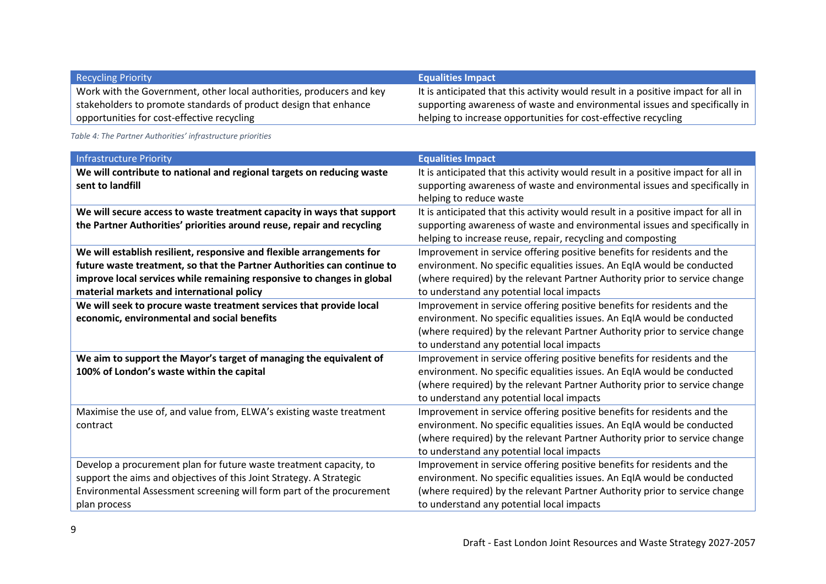| <b>Recycling Priority</b>                                            | <b>Equalities Impact</b>                                                          |
|----------------------------------------------------------------------|-----------------------------------------------------------------------------------|
| Work with the Government, other local authorities, producers and key | It is anticipated that this activity would result in a positive impact for all in |
| stakeholders to promote standards of product design that enhance     | supporting awareness of waste and environmental issues and specifically in        |
| opportunities for cost-effective recycling                           | helping to increase opportunities for cost-effective recycling                    |

<span id="page-8-0"></span>*Table 4: The Partner Authorities' infrastructure priorities*

| <b>Infrastructure Priority</b>                                          | <b>Equalities Impact</b>                                                          |
|-------------------------------------------------------------------------|-----------------------------------------------------------------------------------|
| We will contribute to national and regional targets on reducing waste   | It is anticipated that this activity would result in a positive impact for all in |
| sent to landfill                                                        | supporting awareness of waste and environmental issues and specifically in        |
|                                                                         | helping to reduce waste                                                           |
| We will secure access to waste treatment capacity in ways that support  | It is anticipated that this activity would result in a positive impact for all in |
| the Partner Authorities' priorities around reuse, repair and recycling  | supporting awareness of waste and environmental issues and specifically in        |
|                                                                         | helping to increase reuse, repair, recycling and composting                       |
| We will establish resilient, responsive and flexible arrangements for   | Improvement in service offering positive benefits for residents and the           |
| future waste treatment, so that the Partner Authorities can continue to | environment. No specific equalities issues. An EqIA would be conducted            |
| improve local services while remaining responsive to changes in global  | (where required) by the relevant Partner Authority prior to service change        |
| material markets and international policy                               | to understand any potential local impacts                                         |
| We will seek to procure waste treatment services that provide local     | Improvement in service offering positive benefits for residents and the           |
| economic, environmental and social benefits                             | environment. No specific equalities issues. An EqIA would be conducted            |
|                                                                         | (where required) by the relevant Partner Authority prior to service change        |
|                                                                         | to understand any potential local impacts                                         |
| We aim to support the Mayor's target of managing the equivalent of      | Improvement in service offering positive benefits for residents and the           |
| 100% of London's waste within the capital                               | environment. No specific equalities issues. An EqIA would be conducted            |
|                                                                         | (where required) by the relevant Partner Authority prior to service change        |
|                                                                         | to understand any potential local impacts                                         |
| Maximise the use of, and value from, ELWA's existing waste treatment    | Improvement in service offering positive benefits for residents and the           |
| contract                                                                | environment. No specific equalities issues. An EqIA would be conducted            |
|                                                                         | (where required) by the relevant Partner Authority prior to service change        |
|                                                                         | to understand any potential local impacts                                         |
| Develop a procurement plan for future waste treatment capacity, to      | Improvement in service offering positive benefits for residents and the           |
| support the aims and objectives of this Joint Strategy. A Strategic     | environment. No specific equalities issues. An EqIA would be conducted            |
| Environmental Assessment screening will form part of the procurement    | (where required) by the relevant Partner Authority prior to service change        |
| plan process                                                            | to understand any potential local impacts                                         |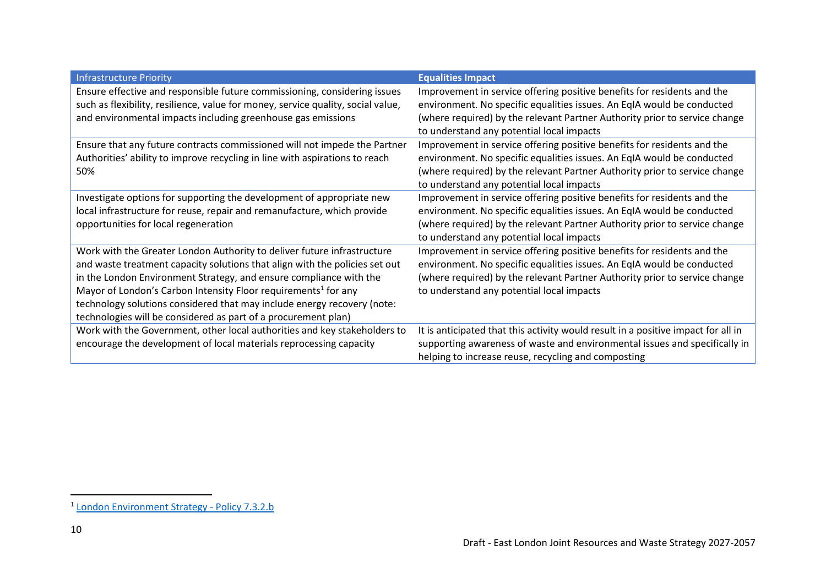| <b>Infrastructure Priority</b>                                                                                                                                                                                                                                                                                                                                                                                                                          | <b>Equalities Impact</b>                                                                                                                                                                                                                                                     |
|---------------------------------------------------------------------------------------------------------------------------------------------------------------------------------------------------------------------------------------------------------------------------------------------------------------------------------------------------------------------------------------------------------------------------------------------------------|------------------------------------------------------------------------------------------------------------------------------------------------------------------------------------------------------------------------------------------------------------------------------|
| Ensure effective and responsible future commissioning, considering issues<br>such as flexibility, resilience, value for money, service quality, social value,<br>and environmental impacts including greenhouse gas emissions                                                                                                                                                                                                                           | Improvement in service offering positive benefits for residents and the<br>environment. No specific equalities issues. An EqIA would be conducted<br>(where required) by the relevant Partner Authority prior to service change<br>to understand any potential local impacts |
| Ensure that any future contracts commissioned will not impede the Partner<br>Authorities' ability to improve recycling in line with aspirations to reach<br>50%                                                                                                                                                                                                                                                                                         | Improvement in service offering positive benefits for residents and the<br>environment. No specific equalities issues. An EqIA would be conducted<br>(where required) by the relevant Partner Authority prior to service change<br>to understand any potential local impacts |
| Investigate options for supporting the development of appropriate new<br>local infrastructure for reuse, repair and remanufacture, which provide<br>opportunities for local regeneration                                                                                                                                                                                                                                                                | Improvement in service offering positive benefits for residents and the<br>environment. No specific equalities issues. An EqIA would be conducted<br>(where required) by the relevant Partner Authority prior to service change<br>to understand any potential local impacts |
| Work with the Greater London Authority to deliver future infrastructure<br>and waste treatment capacity solutions that align with the policies set out<br>in the London Environment Strategy, and ensure compliance with the<br>Mayor of London's Carbon Intensity Floor requirements <sup>1</sup> for any<br>technology solutions considered that may include energy recovery (note:<br>technologies will be considered as part of a procurement plan) | Improvement in service offering positive benefits for residents and the<br>environment. No specific equalities issues. An EqIA would be conducted<br>(where required) by the relevant Partner Authority prior to service change<br>to understand any potential local impacts |
| Work with the Government, other local authorities and key stakeholders to<br>encourage the development of local materials reprocessing capacity                                                                                                                                                                                                                                                                                                         | It is anticipated that this activity would result in a positive impact for all in<br>supporting awareness of waste and environmental issues and specifically in<br>helping to increase reuse, recycling and composting                                                       |

<sup>&</sup>lt;sup>1</sup> [London Environment Strategy -](https://www.london.gov.uk/sites/default/files/london_environment_strategy_0.pdf#page=313) Policy 7.3.2.b